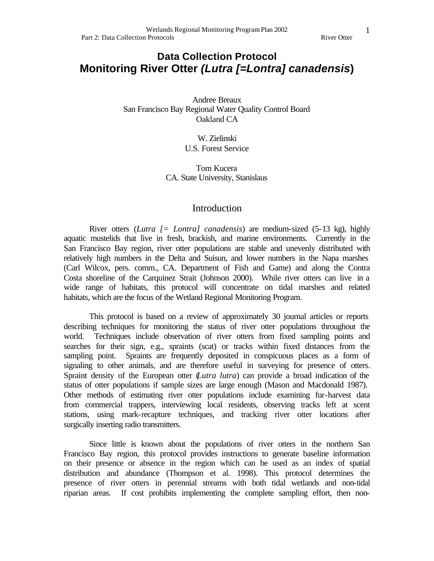## **Data Collection Protocol Monitoring River Otter** *(Lutra [=Lontra] canadensis***)**

Andree Breaux San Francisco Bay Regional Water Quality Control Board Oakland CA

> W. Zielinski U.S. Forest Service

Tom Kucera CA. State University, Stanislaus

## Introduction

River otters (*Lutra [= Lontra] canadensis*) are medium-sized (5-13 kg), highly aquatic mustelids that live in fresh, brackish, and marine environments. Currently in the San Francisco Bay region, river otter populations are stable and unevenly distributed with relatively high numbers in the Delta and Suisun, and lower numbers in the Napa marshes (Carl Wilcox, pers. comm., CA. Department of Fish and Game) and along the Contra Costa shoreline of the Carquinez Strait (Johnson 2000). While river otters can live in a wide range of habitats, this protocol will concentrate on tidal marshes and related habitats, which are the focus of the Wetland Regional Monitoring Program.

This protocol is based on a review of approximately 30 journal articles or reports describing techniques for monitoring the status of river otter populations throughout the world. Techniques include observation of river otters from fixed sampling points and searches for their sign, e.g., spraints (scat) or tracks within fixed distances from the sampling point. Spraints are frequently deposited in conspicuous places as a form of signaling to other animals, and are therefore useful in surveying for presence of otters. Spraint density of the European otter (*Lutra lutra*) can provide a broad indication of the status of otter populations if sample sizes are large enough (Mason and Macdonald 1987). Other methods of estimating river otter populations include examining fur-harvest data from commercial trappers, interviewing local residents, observing tracks left at scent stations, using mark-recapture techniques, and tracking river otter locations after surgically inserting radio transmitters.

Since little is known about the populations of river otters in the northern San Francisco Bay region, this protocol provides instructions to generate baseline information on their presence or absence in the region which can be used as an index of spatial distribution and abundance (Thompson et al. 1998). This protocol determines the presence of river otters in perennial streams with both tidal wetlands and non-tidal riparian areas. If cost prohibits implementing the complete sampling effort, then non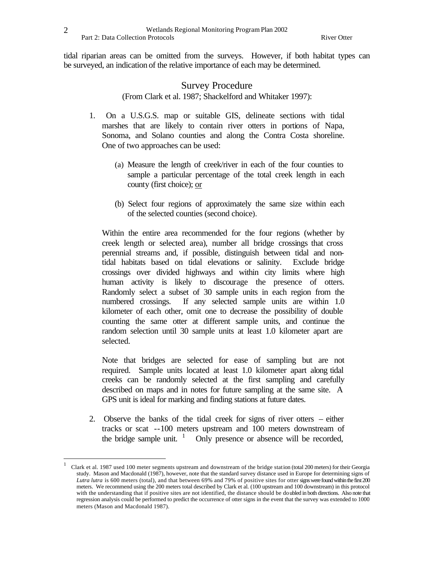tidal riparian areas can be omitted from the surveys. However, if both habitat types can be surveyed, an indication of the relative importance of each may be determined.

## Survey Procedure

(From Clark et al. 1987; Shackelford and Whitaker 1997):

- 1. On a U.S.G.S. map or suitable GIS, delineate sections with tidal marshes that are likely to contain river otters in portions of Napa, Sonoma, and Solano counties and along the Contra Costa shoreline. One of two approaches can be used:
	- (a) Measure the length of creek/river in each of the four counties to sample a particular percentage of the total creek length in each county (first choice); or
	- (b) Select four regions of approximately the same size within each of the selected counties (second choice).

Within the entire area recommended for the four regions (whether by creek length or selected area), number all bridge crossings that cross perennial streams and, if possible, distinguish between tidal and nontidal habitats based on tidal elevations or salinity. Exclude bridge crossings over divided highways and within city limits where high human activity is likely to discourage the presence of otters. Randomly select a subset of 30 sample units in each region from the numbered crossings. If any selected sample units are within 1.0 kilometer of each other, omit one to decrease the possibility of double counting the same otter at different sample units, and continue the random selection until 30 sample units at least 1.0 kilometer apart are selected.

Note that bridges are selected for ease of sampling but are not required. Sample units located at least 1.0 kilometer apart along tidal creeks can be randomly selected at the first sampling and carefully described on maps and in notes for future sampling at the same site. A GPS unit is ideal for marking and finding stations at future dates.

2. Observe the banks of the tidal creek for signs of river otters – either tracks or scat --100 meters upstream and 100 meters downstream of the bridge sample unit.  $\frac{1}{1}$  Only presence or absence will be recorded,

 $\overline{a}$ 

<sup>1</sup> Clark et al. 1987 used 100 meter segments upstream and downstream of the bridge station (total 200 meters) for their Georgia study. Mason and Macdonald (1987), however, note that the standard survey distance used in Europe for determining signs of *Lutra lutra* is 600 meters (total), and that between 69% and 79% of positive sites for otter signs were found within the first 200 meters. We recommend using the 200 meters total described by Clark et al. (100 upstream and 100 downstream) in this protocol with the understanding that if positive sites are not identified, the distance should be doubled in both directions. Also note that regression analysis could be performed to predict the occurrence of otter signs in the event that the survey was extended to 1000 meters (Mason and Macdonald 1987).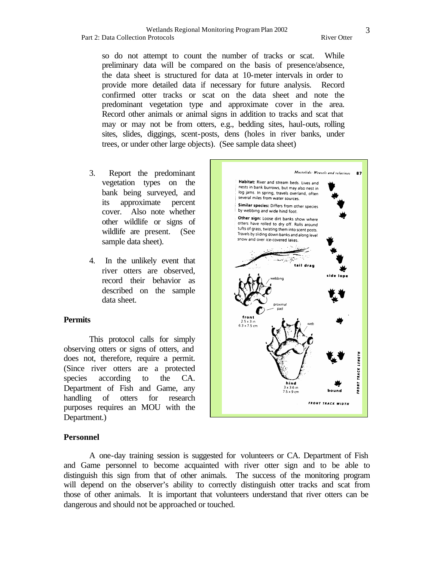#### Wetlands Regional Monitoring Program Plan 2002 Part 2: Data Collection Protocols **River Otter** River Otter River Otter

Mustelids: Weasels and relatives 87

**FRONT TRACK WIDTH** 

so do not attempt to count the number of tracks or scat. While preliminary data will be compared on the basis of presence/absence, the data sheet is structured for data at 10-meter intervals in order to provide more detailed data if necessary for future analysis. Record confirmed otter tracks or scat on the data sheet and note the predominant vegetation type and approximate cover in the area. Record other animals or animal signs in addition to tracks and scat that may or may not be from otters, e.g., bedding sites, haul-outs, rolling sites, slides, diggings, scent-posts, dens (holes in river banks, under trees, or under other large objects). (See sample data sheet)

- 3. Report the predominant vegetation types on the bank being surveyed, and its approximate percent cover. Also note whether other wildlife or signs of wildlife are present. (See sample data sheet).
- 4. In the unlikely event that river otters are observed, record their behavior as described on the sample data sheet.

#### **Permits**

This protocol calls for simply observing otters or signs of otters, and does not, therefore, require a permit. (Since river otters are a protected species according to the CA. Department of Fish and Game, any handling of otters for research purposes requires an MOU with the Department.)

# Habitat: River and stream beds. Lives and nests in bank burrows, but may also nest in log jams. In spring, travels overland, often several miles from water sources. Similar species: Differs from other species by webbing and wide hind foot. Other sign: Loose dirt banks show where otters have rolled to dry off. Rolls around tufts of grass, twisting them into scent posts. Travels by sliding down banks and along level snow and over ice-covered lakes. **TRACK LENGTH** FRONT  $7.5 \times 9$  cm

## **Personnel**

A one-day training session is suggested for volunteers or CA. Department of Fish and Game personnel to become acquainted with river otter sign and to be able to distinguish this sign from that of other animals. The success of the monitoring program will depend on the observer's ability to correctly distinguish otter tracks and scat from those of other animals. It is important that volunteers understand that river otters can be dangerous and should not be approached or touched.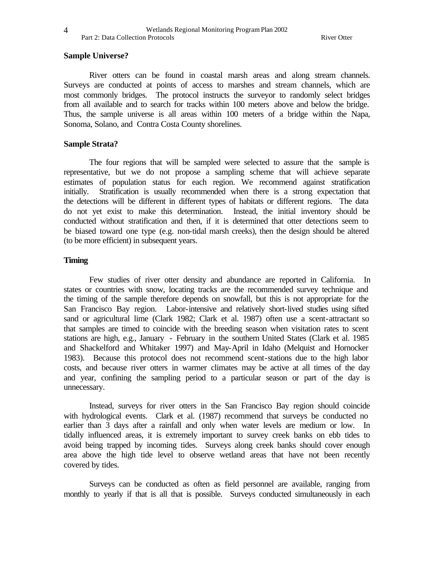## **Sample Universe?**

River otters can be found in coastal marsh areas and along stream channels. Surveys are conducted at points of access to marshes and stream channels, which are most commonly bridges. The protocol instructs the surveyor to randomly select bridges from all available and to search for tracks within 100 meters above and below the bridge. Thus, the sample universe is all areas within 100 meters of a bridge within the Napa, Sonoma, Solano, and Contra Costa County shorelines.

#### **Sample Strata?**

The four regions that will be sampled were selected to assure that the sample is representative, but we do not propose a sampling scheme that will achieve separate estimates of population status for each region. We recommend against stratification initially. Stratification is usually recommended when there is a strong expectation that the detections will be different in different types of habitats or different regions. The data do not yet exist to make this determination. Instead, the initial inventory should be conducted without stratification and then, if it is determined that otter detections seem to be biased toward one type (e.g. non-tidal marsh creeks), then the design should be altered (to be more efficient) in subsequent years.

## **Timing**

Few studies of river otter density and abundance are reported in California. In states or countries with snow, locating tracks are the recommended survey technique and the timing of the sample therefore depends on snowfall, but this is not appropriate for the San Francisco Bay region. Labor-intensive and relatively short-lived studies using sifted sand or agricultural lime (Clark 1982; Clark et al. 1987) often use a scent-attractant so that samples are timed to coincide with the breeding season when visitation rates to scent stations are high, e.g., January - February in the southern United States (Clark et al. 1985 and Shackelford and Whitaker 1997) and May-April in Idaho (Melquist and Hornocker 1983). Because this protocol does not recommend scent-stations due to the high labor costs, and because river otters in warmer climates may be active at all times of the day and year, confining the sampling period to a particular season or part of the day is unnecessary.

Instead, surveys for river otters in the San Francisco Bay region should coincide with hydrological events. Clark et al. (1987) recommend that surveys be conducted no earlier than 3 days after a rainfall and only when water levels are medium or low. In tidally influenced areas, it is extremely important to survey creek banks on ebb tides to avoid being trapped by incoming tides. Surveys along creek banks should cover enough area above the high tide level to observe wetland areas that have not been recently covered by tides.

Surveys can be conducted as often as field personnel are available, ranging from monthly to yearly if that is all that is possible. Surveys conducted simultaneously in each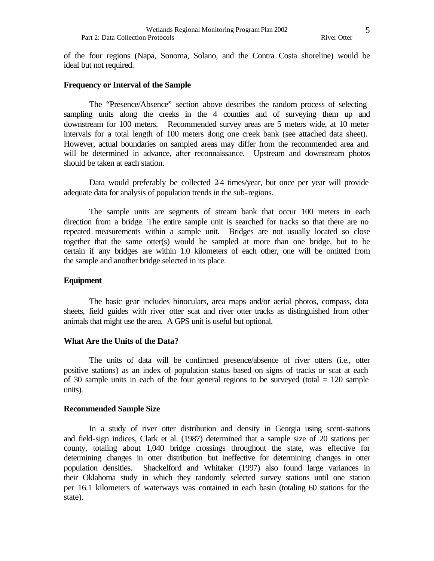of the four regions (Napa, Sonoma, Solano, and the Contra Costa shoreline) would be ideal but not required.

#### **Frequency or Interval of the Sample**

The "Presence/Absence" section above describes the random process of selecting sampling units along the creeks in the 4 counties and of surveying them up and downstream for 100 meters. Recommended survey areas are 5 meters wide, at 10 meter intervals for a total length of 100 meters along one creek bank (see attached data sheet). However, actual boundaries on sampled areas may differ from the recommended area and will be determined in advance, after reconnaissance. Upstream and downstream photos should be taken at each station.

Data would preferably be collected 2-4 times/year, but once per year will provide adequate data for analysis of population trends in the sub-regions.

The sample units are segments of stream bank that occur 100 meters in each direction from a bridge. The entire sample unit is searched for tracks so that there are no repeated measurements within a sample unit. Bridges are not usually located so close together that the same otter(s) would be sampled at more than one bridge, but to be certain if any bridges are within 1.0 kilometers of each other, one will be omitted from the sample and another bridge selected in its place.

## **Equipment**

The basic gear includes binoculars, area maps and/or aerial photos, compass, data sheets, field guides with river otter scat and river otter tracks as distinguished from other animals that might use the area. A GPS unit is useful but optional.

#### **What Are the Units of the Data?**

The units of data will be confirmed presence/absence of river otters (i.e., otter positive stations) as an index of population status based on signs of tracks or scat at each of 30 sample units in each of the four general regions to be surveyed (total  $= 120$  sample units).

#### **Recommended Sample Size**

In a study of river otter distribution and density in Georgia using scent-stations and field-sign indices, Clark et al. (1987) determined that a sample size of 20 stations per county, totaling about 1,040 bridge crossings throughout the state, was effective for determining changes in otter distribution but ineffective for determining changes in otter population densities. Shackelford and Whitaker (1997) also found large variances in their Oklahoma study in which they randomly selected survey stations until one station per 16.1 kilometers of waterways was contained in each basin (totaling 60 stations for the state).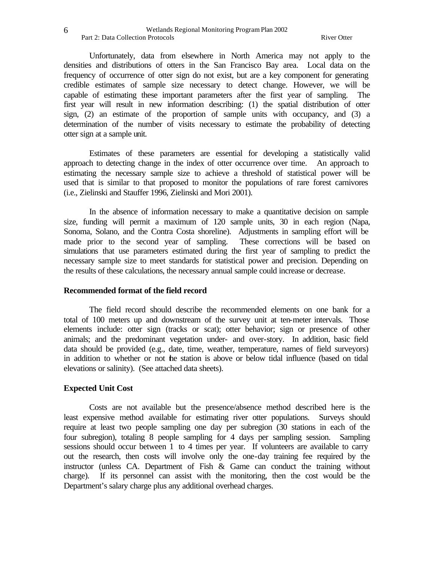#### Wetlands Regional Monitoring Program Plan 2002 Part 2: Data Collection Protocols River Otter River Otter River Otter River Otter

Unfortunately, data from elsewhere in North America may not apply to the densities and distributions of otters in the San Francisco Bay area. Local data on the frequency of occurrence of otter sign do not exist, but are a key component for generating credible estimates of sample size necessary to detect change. However, we will be capable of estimating these important parameters after the first year of sampling. The first year will result in new information describing: (1) the spatial distribution of otter sign, (2) an estimate of the proportion of sample units with occupancy, and (3) a determination of the number of visits necessary to estimate the probability of detecting otter sign at a sample unit.

Estimates of these parameters are essential for developing a statistically valid approach to detecting change in the index of otter occurrence over time. An approach to estimating the necessary sample size to achieve a threshold of statistical power will be used that is similar to that proposed to monitor the populations of rare forest carnivores (i.e., Zielinski and Stauffer 1996, Zielinski and Mori 2001).

In the absence of information necessary to make a quantitative decision on sample size, funding will permit a maximum of 120 sample units, 30 in each region (Napa, Sonoma, Solano, and the Contra Costa shoreline). Adjustments in sampling effort will be made prior to the second year of sampling. These corrections will be based on simulations that use parameters estimated during the first year of sampling to predict the necessary sample size to meet standards for statistical power and precision. Depending on the results of these calculations, the necessary annual sample could increase or decrease.

#### **Recommended format of the field record**

The field record should describe the recommended elements on one bank for a total of 100 meters up and downstream of the survey unit at ten-meter intervals. Those elements include: otter sign (tracks or scat); otter behavior; sign or presence of other animals; and the predominant vegetation under- and over-story. In addition, basic field data should be provided (e.g., date, time, weather, temperature, names of field surveyors) in addition to whether or not the station is above or below tidal influence (based on tidal elevations or salinity). (See attached data sheets).

#### **Expected Unit Cost**

Costs are not available but the presence/absence method described here is the least expensive method available for estimating river otter populations. Surveys should require at least two people sampling one day per subregion (30 stations in each of the four subregion), totaling 8 people sampling for 4 days per sampling session. Sampling sessions should occur between 1 to 4 times per year. If volunteers are available to carry out the research, then costs will involve only the one-day training fee required by the instructor (unless CA. Department of Fish & Game can conduct the training without charge). If its personnel can assist with the monitoring, then the cost would be the Department's salary charge plus any additional overhead charges.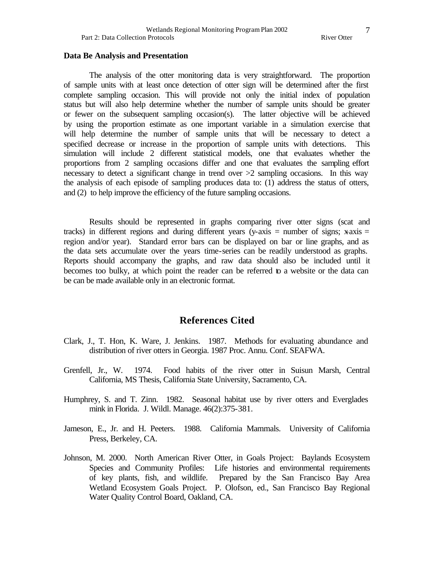#### **Data Be Analysis and Presentation**

The analysis of the otter monitoring data is very straightforward. The proportion of sample units with at least once detection of otter sign will be determined after the first complete sampling occasion. This will provide not only the initial index of population status but will also help determine whether the number of sample units should be greater or fewer on the subsequent sampling occasion(s). The latter objective will be achieved by using the proportion estimate as one important variable in a simulation exercise that will help determine the number of sample units that will be necessary to detect a specified decrease or increase in the proportion of sample units with detections. This simulation will include 2 different statistical models, one that evaluates whether the proportions from 2 sampling occasions differ and one that evaluates the sampling effort necessary to detect a significant change in trend over >2 sampling occasions. In this way the analysis of each episode of sampling produces data to: (1) address the status of otters, and (2) to help improve the efficiency of the future sampling occasions.

Results should be represented in graphs comparing river otter signs (scat and tracks) in different regions and during different years (y-axis = number of signs;  $x-axis =$ region and/or year). Standard error bars can be displayed on bar or line graphs, and as the data sets accumulate over the years time-series can be readily understood as graphs. Reports should accompany the graphs, and raw data should also be included until it becomes too bulky, at which point the reader can be referred to a website or the data can be can be made available only in an electronic format.

## **References Cited**

- Clark, J., T. Hon, K. Ware, J. Jenkins. 1987. Methods for evaluating abundance and distribution of river otters in Georgia. 1987 Proc. Annu. Conf. SEAFWA.
- Grenfell, Jr., W. 1974. Food habits of the river otter in Suisun Marsh, Central California, MS Thesis, California State University, Sacramento, CA.
- Humphrey, S. and T. Zinn. 1982. Seasonal habitat use by river otters and Everglades mink in Florida. J. Wildl. Manage. 46(2):375-381.
- Jameson, E., Jr. and H. Peeters. 1988. California Mammals. University of California Press, Berkeley, CA.
- Johnson, M. 2000. North American River Otter, in Goals Project: Baylands Ecosystem Species and Community Profiles: Life histories and environmental requirements of key plants, fish, and wildlife. Prepared by the San Francisco Bay Area Wetland Ecosystem Goals Project. P. Olofson, ed., San Francisco Bay Regional Water Quality Control Board, Oakland, CA.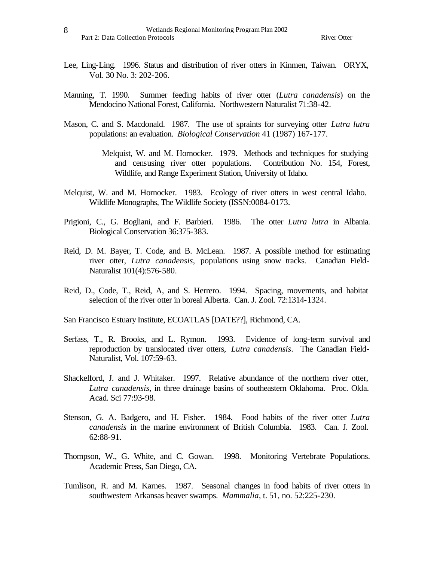- Lee, Ling-Ling. 1996. Status and distribution of river otters in Kinmen, Taiwan. ORYX, Vol. 30 No. 3: 202-206.
- Manning, T. 1990. Summer feeding habits of river otter (*Lutra canadensis*) on the Mendocino National Forest, California. Northwestern Naturalist 71:38-42.
- Mason, C. and S. Macdonald. 1987. The use of spraints for surveying otter *Lutra lutra* populations: an evaluation. *Biological Conservation* 41 (1987) 167-177.
	- Melquist, W. and M. Hornocker. 1979. Methods and techniques for studying and censusing river otter populations. Contribution No. 154, Forest, Wildlife, and Range Experiment Station, University of Idaho.
- Melquist, W. and M. Hornocker. 1983. Ecology of river otters in west central Idaho. Wildlife Monographs, The Wildlife Society (ISSN:0084-0173.
- Prigioni, C., G. Bogliani, and F. Barbieri. 1986. The otter *Lutra lutra* in Albania. Biological Conservation 36:375-383.
- Reid, D. M. Bayer, T. Code, and B. McLean. 1987. A possible method for estimating river otter, *Lutra canadensis*, populations using snow tracks. Canadian Field-Naturalist 101(4):576-580.
- Reid, D., Code, T., Reid, A, and S. Herrero. 1994. Spacing, movements, and habitat selection of the river otter in boreal Alberta. Can. J. Zool. 72:1314-1324.

San Francisco Estuary Institute, ECOATLAS [DATE??], Richmond, CA.

- Serfass, T., R. Brooks, and L. Rymon. 1993. Evidence of long-term survival and reproduction by translocated river otters, *Lutra canadensis*. The Canadian Field-Naturalist, Vol. 107:59-63.
- Shackelford, J. and J. Whitaker. 1997. Relative abundance of the northern river otter, *Lutra canadensis*, in three drainage basins of southeastern Oklahoma. Proc. Okla. Acad. Sci 77:93-98.
- Stenson, G. A. Badgero, and H. Fisher. 1984. Food habits of the river otter *Lutra canadensis* in the marine environment of British Columbia. 1983. Can. J. Zool. 62:88-91.
- Thompson, W., G. White, and C. Gowan. 1998. Monitoring Vertebrate Populations. Academic Press, San Diego, CA.
- Tumlison, R. and M. Karnes. 1987. Seasonal changes in food habits of river otters in southwestern Arkansas beaver swamps. *Mammalia*, t. 51, no. 52:225-230.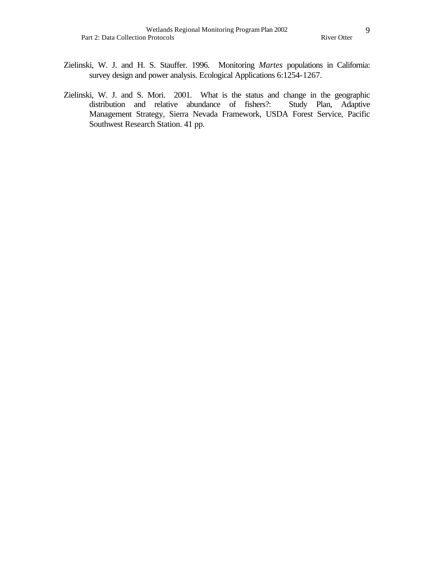- Zielinski, W. J. and H. S. Stauffer. 1996. Monitoring *Martes* populations in California: survey design and power analysis. Ecological Applications 6:1254-1267.
- Zielinski, W. J. and S. Mori. 2001. What is the status and change in the geographic distribution and relative abundance of fishers?: Management Strategy, Sierra Nevada Framework, USDA Forest Service, Pacific Southwest Research Station. 41 pp.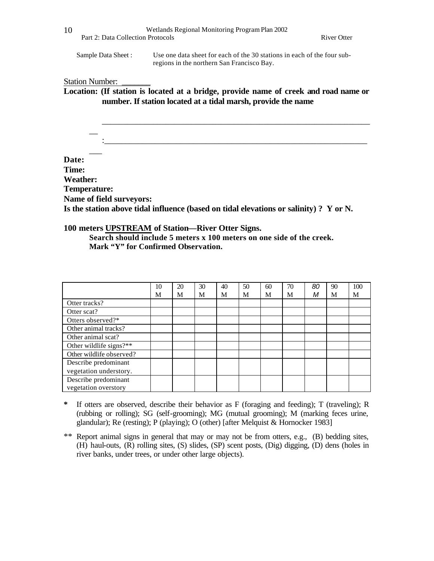Wetlands Regional Monitoring Program Plan 2002 Part 2: Data Collection Protocols **River Otter** River Otter 10 Sample Data Sheet : Use one data sheet for each of the 30 stations in each of the four subregions in the northern San Francisco Bay. Station Number: \_ **Location: (If station is located at a bridge, provide name of creek and road name or number. If station located at a tidal marsh, provide the name** \_\_\_\_\_\_\_\_\_\_\_\_\_\_\_\_\_\_\_\_\_\_\_\_\_\_\_\_\_\_\_\_\_\_\_\_\_\_\_\_\_\_\_\_\_\_\_\_\_\_\_\_\_\_\_\_\_\_\_\_\_\_\_  $\overline{\phantom{a}}$  $\overline{\phantom{a}}$ **Date: Time: Weather: Temperature: Name of field surveyors: Is the station above tidal influence (based on tidal elevations or salinity) ? Y or N. 100 meters UPSTREAM of Station—River Otter Signs.** 

**Search should include 5 meters x 100 meters on one side of the creek. Mark "Y" for Confirmed Observation.** 

|                          | 10 | 20 | 30 | 40 | 50 | 60 | 70 | 80 | 90 | 100 |
|--------------------------|----|----|----|----|----|----|----|----|----|-----|
|                          | M  | M  | M  | M  | M  | M  | M  | М  | M  | M   |
| Otter tracks?            |    |    |    |    |    |    |    |    |    |     |
| Otter scat?              |    |    |    |    |    |    |    |    |    |     |
| Otters observed?*        |    |    |    |    |    |    |    |    |    |     |
| Other animal tracks?     |    |    |    |    |    |    |    |    |    |     |
| Other animal scat?       |    |    |    |    |    |    |    |    |    |     |
| Other wildlife signs?**  |    |    |    |    |    |    |    |    |    |     |
| Other wildlife observed? |    |    |    |    |    |    |    |    |    |     |
| Describe predominant     |    |    |    |    |    |    |    |    |    |     |
| vegetation understory.   |    |    |    |    |    |    |    |    |    |     |
| Describe predominant     |    |    |    |    |    |    |    |    |    |     |
| vegetation overstory     |    |    |    |    |    |    |    |    |    |     |

- **\*** If otters are observed, describe their behavior as F (foraging and feeding); T (traveling); R (rubbing or rolling); SG (self-grooming); MG (mutual grooming); M (marking feces urine, glandular); Re (resting); P (playing); O (other) [after Melquist & Hornocker 1983]
- \*\* Report animal signs in general that may or may not be from otters, e.g., (B) bedding sites, (H) haul-outs, (R) rolling sites, (S) slides, (SP) scent posts, (Dig) digging, (D) dens (holes in river banks, under trees, or under other large objects).